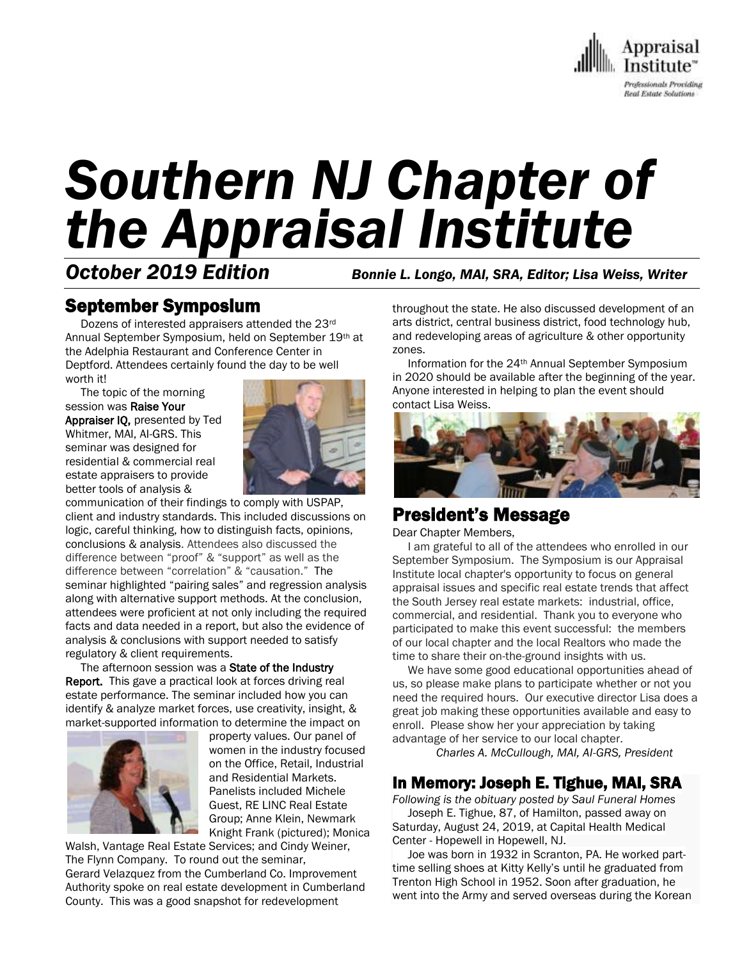

# *Southern NJ Chapter of the Appraisal Institute*

*October 2019 Edition Bonnie L. Longo, MAI, SRA, Editor; Lisa Weiss, Writer*

# September Symposium

 Dozens of interested appraisers attended the 23rd Annual September Symposium, held on September 19th at the Adelphia Restaurant and Conference Center in Deptford. Attendees certainly found the day to be well worth it!

 The topic of the morning session was Raise Your Appraiser IQ, presented by Ted Whitmer, MAI, AI-GRS. This seminar was designed for residential & commercial real

estate appraisers to provide better tools of analysis &



communication of their findings to comply with USPAP, client and industry standards. This included discussions on logic, careful thinking, how to distinguish facts, opinions, conclusions & analysis. Attendees also discussed the difference between "proof" & "support" as well as the difference between "correlation" & "causation." The seminar highlighted "pairing sales" and regression analysis along with alternative support methods. At the conclusion, attendees were proficient at not only including the required facts and data needed in a report, but also the evidence of analysis & conclusions with support needed to satisfy regulatory & client requirements.

The afternoon session was a State of the Industry Report. This gave a practical look at forces driving real estate performance. The seminar included how you can identify & analyze market forces, use creativity, insight, & market-supported information to determine the impact on



property values. Our panel of women in the industry focused on the Office, Retail, Industrial and Residential Markets. Panelists included Michele Guest, RE LINC Real Estate Group; Anne Klein, Newmark Knight Frank (pictured); Monica

Walsh, Vantage Real Estate Services; and Cindy Weiner, The Flynn Company. To round out the seminar, Gerard Velazquez from the Cumberland Co. Improvement Authority spoke on real estate development in Cumberland County. This was a good snapshot for redevelopment

throughout the state. He also discussed development of an arts district, central business district, food technology hub, and redeveloping areas of agriculture & other opportunity zones.

 Information for the 24th Annual September Symposium in 2020 should be available after the beginning of the year. Anyone interested in helping to plan the event should contact Lisa Weiss.



### President's Message

Dear Chapter Members,

 I am grateful to all of the attendees who enrolled in our September Symposium. The Symposium is our Appraisal Institute local chapter's opportunity to focus on general appraisal issues and specific real estate trends that affect the South Jersey real estate markets: industrial, office, commercial, and residential. Thank you to everyone who participated to make this event successful: the members of our local chapter and the local Realtors who made the time to share their on-the-ground insights with us.

 We have some good educational opportunities ahead of us, so please make plans to participate whether or not you need the required hours. Our executive director Lisa does a great job making these opportunities available and easy to enroll. Please show her your appreciation by taking advantage of her service to our local chapter.

*Charles A. McCullough, MAI, AI-GRS, President*

### In Memory: Joseph E. Tighue, MAI, SRA

*Following is the obituary posted by Saul Funeral Homes* Joseph E. Tighue, 87, of Hamilton, passed away on Saturday, August 24, 2019, at Capital Health Medical Center - Hopewell in Hopewell, NJ.

 Joe was born in 1932 in Scranton, PA. He worked parttime selling shoes at Kitty Kelly's until he graduated from Trenton High School in 1952. Soon after graduation, he went into the Army and served overseas during the Korean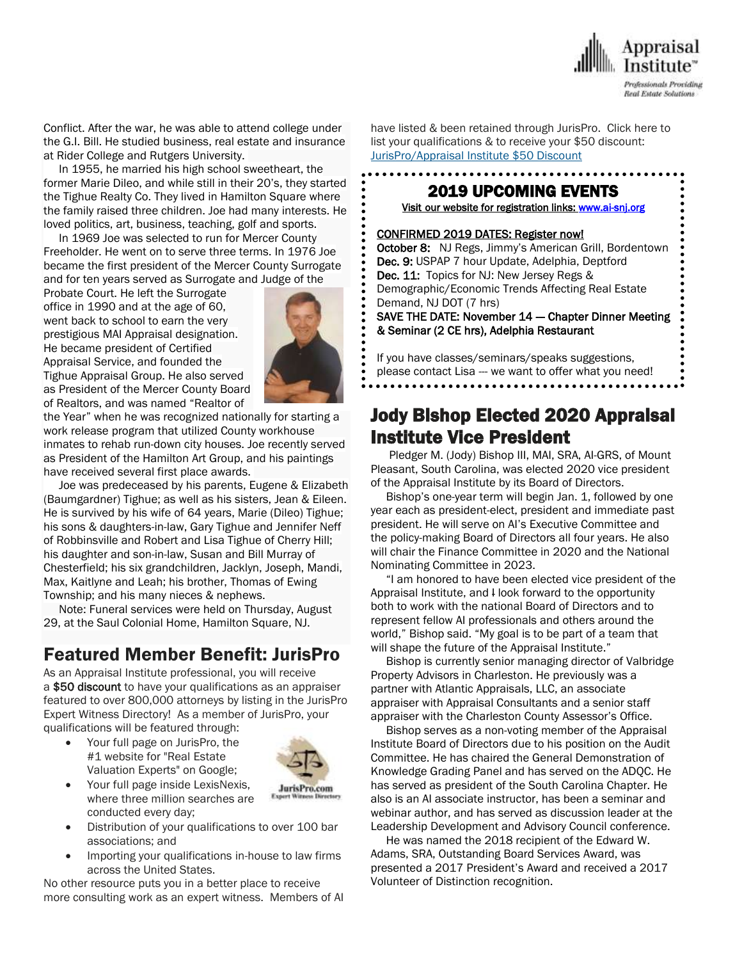

Conflict. After the war, he was able to attend college under the G.I. Bill. He studied business, real estate and insurance at Rider College and Rutgers University.

 In 1955, he married his high school sweetheart, the former Marie Dileo, and while still in their 20's, they started the Tighue Realty Co. They lived in Hamilton Square where the family raised three children. Joe had many interests. He loved politics, art, business, teaching, golf and sports.

 In 1969 Joe was selected to run for Mercer County Freeholder. He went on to serve three terms. In 1976 Joe became the first president of the Mercer County Surrogate and for ten years served as Surrogate and Judge of the

Probate Court. He left the Surrogate office in 1990 and at the age of 60, went back to school to earn the very prestigious MAI Appraisal designation. He became president of Certified Appraisal Service, and founded the Tighue Appraisal Group. He also served as President of the Mercer County Board of Realtors, and was named "Realtor of



the Year" when he was recognized nationally for starting a work release program that utilized County workhouse inmates to rehab run-down city houses. Joe recently served as President of the Hamilton Art Group, and his paintings have received several first place awards.

 Joe was predeceased by his parents, Eugene & Elizabeth (Baumgardner) Tighue; as well as his sisters, Jean & Eileen. He is survived by his wife of 64 years, Marie (Dileo) Tighue; his sons & daughters-in-law, Gary Tighue and Jennifer Neff of Robbinsville and Robert and Lisa Tighue of Cherry Hill; his daughter and son-in-law, Susan and Bill Murray of Chesterfield; his six grandchildren, Jacklyn, Joseph, Mandi, Max, Kaitlyne and Leah; his brother, Thomas of Ewing Township; and his many nieces & nephews.

 Note: Funeral services were held on Thursday, August 29, at the Saul Colonial Home, Hamilton Square, NJ.

# Featured Member Benefit: JurisPro

As an Appraisal Institute professional, you will receive a \$50 discount to have your qualifications as an appraiser featured to over 800,000 attorneys by listing in the JurisPro Expert Witness Directory! As a member of JurisPro, your qualifications will be featured through:

 Your full page on JurisPro, the #1 website for "Real Estate Valuation Experts" on Google;



- Your full page inside LexisNexis, where three million searches are conducted every day;
- Distribution of your qualifications to over 100 bar associations; and
- Importing your qualifications in-house to law firms across the United States.

No other resource puts you in a better place to receive more consulting work as an expert witness. Members of AI have listed & been retained through JurisPro. Click here to list your qualifications & to receive your \$50 discount: [JurisPro/Appraisal](http://send.appraisalinstitute.org/link.cfm?r=b0cu52FEpQ5beQ1mo2g1Ag~~&pe=835_9q5sLDY73gFl7oyaUv2ucXypVjSPbGodMo_LTqkOVEarOpjwo6OJKrMSPhyDQYCKxBioe_KnIp-DiDgnxg~~&t=9KJHZ1xHpDBfTWEdZFPuYg~~) Institute \$50 Discount

### . 2019 UPCOMING EVENTS

[Visit](http://www.myappraisalinstitute.org/education/southernNewJersey) our website for registration links[: www.ai-snj.org](http://www.ai-snj.org/) 

#### CONFIRMED 2019 DATES: Register now!

October 8: NJ Regs, Jimmy's American Grill, Bordentown Dec. 9: USPAP 7 hour Update, Adelphia, Deptford Dec. 11: Topics for NJ: New Jersey Regs & Demographic/Economic Trends Affecting Real Estate Demand, NJ DOT (7 hrs) SAVE THE DATE: November 14 - Chapter Dinner Meeting & Seminar (2 CE hrs), Adelphia Restaurant

 If you have classes/seminars/speaks suggestions, please contact Lisa --- we want to offer what you need! . . . . . . . . . . . . . . . . . .

# Jody Bishop Elected 2020 Appraisal Institute Vice President

 Pledger M. (Jody) Bishop III, MAI, SRA, AI-GRS, of Mount Pleasant, South Carolina, was elected 2020 vice president of the Appraisal Institute by its Board of Directors.

Bishop's one-year term will begin Jan. 1, followed by one year each as president-elect, president and immediate past president. He will serve on AI's Executive Committee and the policy-making Board of Directors all four years. He also will chair the Finance Committee in 2020 and the National Nominating Committee in 2023.

 "I am honored to have been elected vice president of the Appraisal Institute, and I look forward to the opportunity both to work with the national Board of Directors and to represent fellow AI professionals and others around the world," Bishop said. "My goal is to be part of a team that will shape the future of the Appraisal Institute."

 Bishop is currently senior managing director of Valbridge Property Advisors in Charleston. He previously was a partner with Atlantic Appraisals, LLC, an associate appraiser with Appraisal Consultants and a senior staff appraiser with the Charleston County Assessor's Office.

 Bishop serves as a non-voting member of the Appraisal Institute Board of Directors due to his position on the Audit Committee. He has chaired the General Demonstration of Knowledge Grading Panel and has served on the ADQC. He has served as president of the South Carolina Chapter. He also is an AI associate instructor, has been a seminar and webinar author, and has served as discussion leader at the Leadership Development and Advisory Council conference.

 He was named the 2018 recipient of the Edward W. Adams, SRA, Outstanding Board Services Award, was presented a 2017 President's Award and received a 2017 Volunteer of Distinction recognition.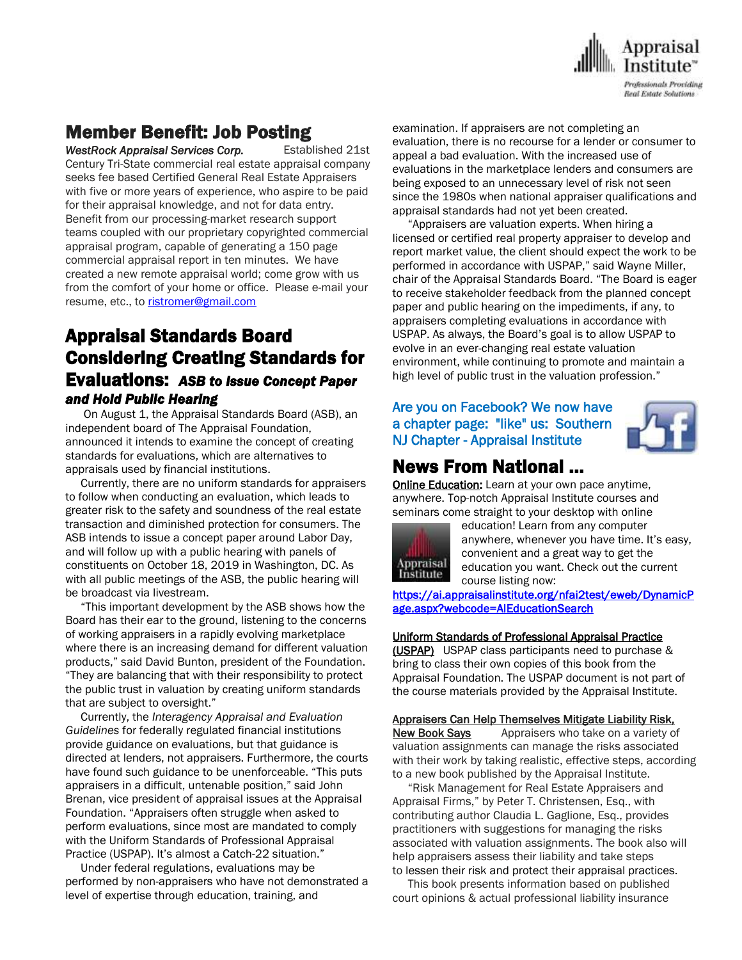

### Member Benefit: Job Posting

*WestRock Appraisal Services Corp.* Established 21st Century Tri-State commercial real estate appraisal company seeks fee based Certified General Real Estate Appraisers with five or more years of experience, who aspire to be paid for their appraisal knowledge, and not for data entry. Benefit from our processing-market research support teams coupled with our proprietary copyrighted commercial appraisal program, capable of generating a 150 page commercial appraisal report in ten minutes. We have created a new remote appraisal world; come grow with us from the comfort of your home or office. Please e-mail your resume, etc., to [ristromer@gmail.com](mailto:ristromer@gmail.com)

### Appraisal Standards Board Considering Creating Standards for Evaluations: *ASB to Issue Concept Paper and Hold Public Hearing*

 On August 1, the Appraisal Standards Board (ASB), an independent board of The Appraisal Foundation, announced it intends to examine the concept of creating standards for evaluations, which are alternatives to appraisals used by financial institutions.

 Currently, there are no uniform standards for appraisers to follow when conducting an evaluation, which leads to greater risk to the safety and soundness of the real estate transaction and diminished protection for consumers. The ASB intends to issue a concept paper around Labor Day, and will follow up with a public hearing with panels of constituents on October 18, 2019 in Washington, DC. As with all public meetings of the ASB, the public hearing will be broadcast via livestream.

 "This important development by the ASB shows how the Board has their ear to the ground, listening to the concerns of working appraisers in a rapidly evolving marketplace where there is an increasing demand for different valuation products," said David Bunton, president of the Foundation. "They are balancing that with their responsibility to protect the public trust in valuation by creating uniform standards that are subject to oversight."

 Currently, the *Interagency Appraisal and Evaluation Guidelines* for federally regulated financial institutions provide guidance on evaluations, but that guidance is directed at lenders, not appraisers. Furthermore, the courts have found such guidance to be unenforceable. "This puts appraisers in a difficult, untenable position," said John Brenan, vice president of appraisal issues at the Appraisal Foundation. "Appraisers often struggle when asked to perform evaluations, since most are mandated to comply with the Uniform Standards of Professional Appraisal Practice (USPAP). It's almost a Catch-22 situation."

 Under federal regulations, evaluations may be performed by non-appraisers who have not demonstrated a level of expertise through education, training, and

examination. If appraisers are not completing an evaluation, there is no recourse for a lender or consumer to appeal a bad evaluation. With the increased use of evaluations in the marketplace lenders and consumers are being exposed to an unnecessary level of risk not seen since the 1980s when national appraiser qualifications and appraisal standards had not yet been created.

 "Appraisers are valuation experts. When hiring a licensed or certified real property appraiser to develop and report market value, the client should expect the work to be performed in accordance with USPAP," said Wayne Miller, chair of the Appraisal Standards Board. "The Board is eager to receive stakeholder feedback from the planned concept paper and public hearing on the impediments, if any, to appraisers completing evaluations in accordance with USPAP. As always, the Board's goal is to allow USPAP to evolve in an ever-changing real estate valuation environment, while continuing to promote and maintain a high level of public trust in the valuation profession."

#### Are you on Facebook? We now have a chapter page: "like" us: Southern NJ Chapter - Appraisal Institute



# News From National …

**[Online Education:](http://www.mmsend50.com/ls.cfm?r=99596491&sid=8974475&m=957997&u=Appraise&s=http://www.appraisalinstitute.org/online)** Learn at your own pace anytime, anywhere. Top-notch Appraisal Institute courses and seminars come straight to your desktop with online



education! Learn from any computer anywhere, whenever you have time. It's easy, convenient and a great way to get the education you want. Check out the current course listing now:

[https://ai.appraisalinstitute.org/nfai2test/eweb/DynamicP](https://ai.appraisalinstitute.org/nfai2test/eweb/DynamicPage.aspx?webcode=AIEducationSearch) [age.aspx?webcode=AIEducationSearch](https://ai.appraisalinstitute.org/nfai2test/eweb/DynamicPage.aspx?webcode=AIEducationSearch) 

#### Uniform Standards of Professional Appraisal Practice

(USPAP) USPAP class participants need to purchase & bring to class their own copies of this book from the Appraisal Foundation. The USPAP document is not part of the course materials provided by the Appraisal Institute.

#### Appraisers Can Help Themselves Mitigate Liability Risk,

New Book Says Appraisers who take on a variety of valuation assignments can manage the risks associated with their work by taking realistic, effective steps, according to a new book published by the Appraisal Institute.

 "Risk Management for Real Estate Appraisers and Appraisal Firms," by Peter T. Christensen, Esq., with contributing author Claudia L. Gaglione, Esq., provides practitioners with suggestions for managing the risks associated with valuation assignments. The book also will help appraisers assess their liability and take steps to lessen their risk and protect their appraisal practices.

 This book presents information based on published court opinions & actual professional liability insurance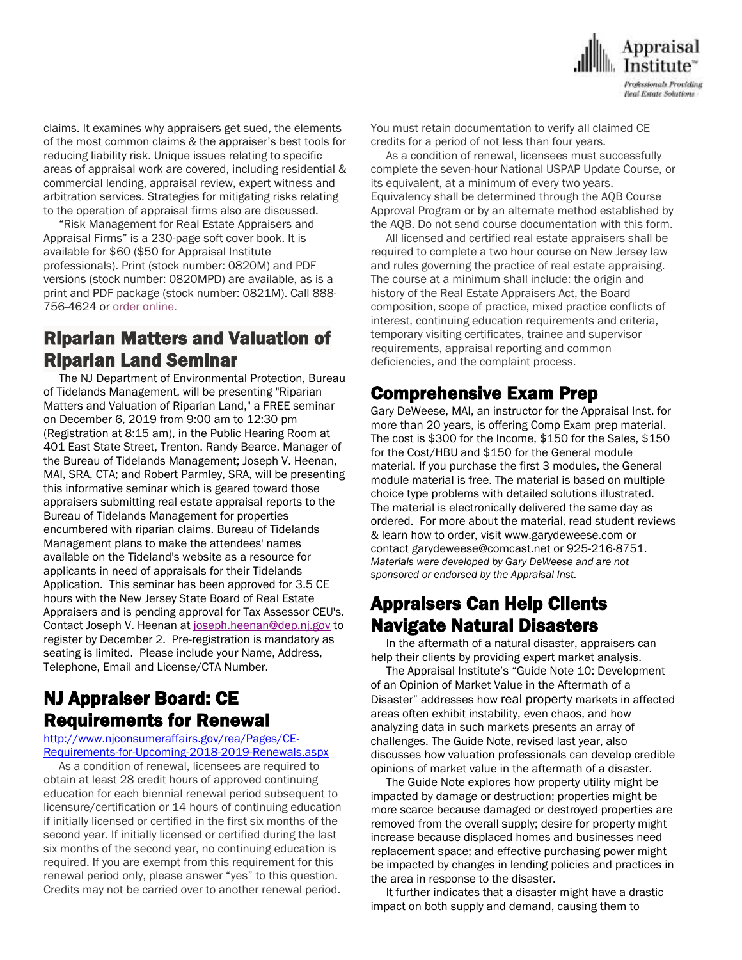

claims. It examines why appraisers get sued, the elements of the most common claims & the appraiser's best tools for reducing liability risk. Unique issues relating to specific areas of appraisal work are covered, including residential & commercial lending, appraisal review, expert witness and arbitration services. Strategies for mitigating risks relating to the operation of appraisal firms also are discussed.

 "Risk Management for Real Estate Appraisers and Appraisal Firms" is a 230-page soft cover book. It is available for \$60 (\$50 for Appraisal Institute professionals). Print (stock number: 0820M) and PDF versions (stock number: 0820MPD) are available, as is a print and PDF package (stock number: 0821M). Call 888- 756-4624 or order [online.](https://u7061146.ct.sendgrid.net/wf/click?upn=G62jSYfZdO-2F12d8lSllQB3CY5q6xmifocVmi-2FnSSQdV5ppdQukKIWrdHxQGAGV4arrk0grM2oJ3U33xneHrW7pOHYTEw1jVU2b-2FlD4Jy-2FQejw8Jbvp96GS1alZDGonSVKNDqrcuEZbPid-2Bf73HR1Dg-3D-3D_YRPfbc9BSCpXKTgdcsJ3-2BdZ9g32aJO-2Biq53XIHTGXdPSCWuUi9-2BY6YFy98ZD0OCM91-2B1BhN0lDKy6saJ-2FIaXt1W1ju27t0nAbEQ7uqog-2BIi3254OnEHLvAdkLIHiOjuEhu-2F-2FkCRXN4CnJTvyCM-2BNaD9-2B-2FUJribhR1as8w2LJyvhu5IRm5WWO5XKJNW6mhHq8hifMeDZ0CUAdtR6NzKxI2K4MRBeDYauPqhlc2J7nDiTRIojLNJBVwy3mcgx4E0NI-2FmIFUPBzZd321L8Ink6BDVI3G436GOD0qF8T3HTMnmQHLZX4ncyUFuZDX18tn0vY0cqVEI3QjUDYFtZERqIYSh-2Fn-2FrZuqYjx2PQYoaXi8SAH4Oma-2BqzwqXYfgeFc567h)

### Riparian Matters and Valuation of Riparian Land Seminar

 The NJ Department of Environmental Protection, Bureau of Tidelands Management, will be presenting "Riparian Matters and Valuation of Riparian Land," a FREE seminar on December 6, 2019 from 9:00 am to 12:30 pm (Registration at 8:15 am), in the Public Hearing Room at 401 East State Street, Trenton. Randy Bearce, Manager of the Bureau of Tidelands Management; Joseph V. Heenan, MAI, SRA, CTA; and Robert Parmley, SRA, will be presenting this informative seminar which is geared toward those appraisers submitting real estate appraisal reports to the Bureau of Tidelands Management for properties encumbered with riparian claims. Bureau of Tidelands Management plans to make the attendees' names available on the Tideland's website as a resource for applicants in need of appraisals for their Tidelands Application. This seminar has been approved for 3.5 CE hours with the New Jersey State Board of Real Estate Appraisers and is pending approval for Tax Assessor CEU's. Contact Joseph V. Heenan at [joseph.heenan@dep.nj.gov](mailto:joseph.heenan@dep.nj.gov) to register by December 2. Pre-registration is mandatory as seating is limited. Please include your Name, Address, Telephone, Email and License/CTA Number.

### NJ Appraiser Board: CE Requirements for Renewal

[http://www.njconsumeraffairs.gov/rea/Pages/CE-](http://www.njconsumeraffairs.gov/rea/Pages/CE-Requirements-for-Upcoming-2018-2019-Renewals.aspx)[Requirements-for-Upcoming-2018-2019-Renewals.aspx](http://www.njconsumeraffairs.gov/rea/Pages/CE-Requirements-for-Upcoming-2018-2019-Renewals.aspx)

 As a condition of renewal, licensees are required to obtain at least 28 credit hours of approved continuing education for each biennial renewal period subsequent to licensure/certification or 14 hours of continuing education if initially licensed or certified in the first six months of the second year. If initially licensed or certified during the last six months of the second year, no continuing education is required. If you are exempt from this requirement for this renewal period only, please answer "yes" to this question. Credits may not be carried over to another renewal period.

You must retain documentation to verify all claimed CE credits for a period of not less than four years.

 As a condition of renewal, licensees must successfully complete the seven-hour National USPAP Update Course, or its equivalent, at a minimum of every two years. Equivalency shall be determined through the AQB Course Approval Program or by an alternate method established by the AQB. Do not send course documentation with this form.

 All licensed and certified real estate appraisers shall be required to complete a two hour course on New Jersey law and rules governing the practice of real estate appraising. The course at a minimum shall include: the origin and history of the Real Estate Appraisers Act, the Board composition, scope of practice, mixed practice conflicts of interest, continuing education requirements and criteria, temporary visiting certificates, trainee and supervisor requirements, appraisal reporting and common deficiencies, and the complaint process.

# Comprehensive Exam Prep

Gary DeWeese, MAI, an instructor for the Appraisal Inst. for more than 20 years, is offering Comp Exam prep material. The cost is \$300 for the Income, \$150 for the Sales, \$150 for the Cost/HBU and \$150 for the General module material. If you purchase the first 3 modules, the General module material is free. The material is based on multiple choice type problems with detailed solutions illustrated. The material is electronically delivered the same day as ordered. For more about the material, read student reviews & learn how to order, visit www.garydeweese.com or contact garydeweese@comcast.net or 925-216-8751. *Materials were developed by Gary DeWeese and are not sponsored or endorsed by the Appraisal Inst.*

# Appraisers Can Help Clients Navigate Natural Disasters

 In the aftermath of a natural disaster, appraisers can help their clients by providing expert market analysis.

 The Appraisal Institute's "Guide Note 10: Development of an Opinion of Market Value in the Aftermath of a Disaster" addresses how real property markets in affected areas often exhibit instability, even chaos, and how analyzing data in such markets presents an array of challenges. The Guide Note, revised last year, also discusses how valuation professionals can develop credible opinions of market value in the aftermath of a disaster.

 The Guide Note explores how property utility might be impacted by damage or destruction; properties might be more scarce because damaged or destroyed properties are removed from the overall supply; desire for property might increase because displaced homes and businesses need replacement space; and effective purchasing power might be impacted by changes in lending policies and practices in the area in response to the disaster.

 It further indicates that a disaster might have a drastic impact on both supply and demand, causing them to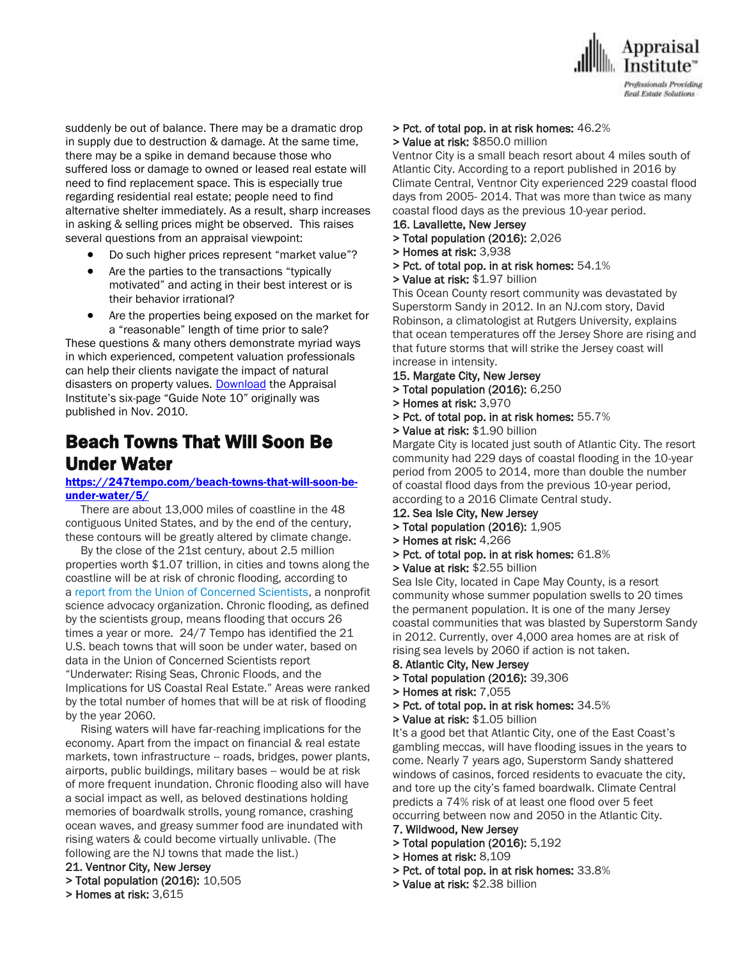

suddenly be out of balance. There may be a dramatic drop in supply due to destruction & damage. At the same time, there may be a spike in demand because those who suffered loss or damage to owned or leased real estate will need to find replacement space. This is especially true regarding residential real estate; people need to find alternative shelter immediately. As a result, sharp increases in asking & selling prices might be observed. This raises several questions from an appraisal viewpoint:

- Do such higher prices represent "market value"?
- Are the parties to the transactions "typically motivated" and acting in their best interest or is their behavior irrational?
- Are the properties being exposed on the market for a "reasonable" length of time prior to sale?

These questions & many others demonstrate myriad ways in which experienced, competent valuation professionals can help their clients navigate the impact of natural disasters on property values. [Download](https://www.appraisalinstitute.org/assets/1/7/guide-note-10.pdf) the Appraisal Institute's six-page "Guide Note 10" originally was published in Nov. 2010.

### Beach Towns That Will Soon Be Under Water

#### [https://247tempo.com/beach-towns-that-will-soon-be](https://247tempo.com/beach-towns-that-will-soon-be-under-water/5/)[under-water/5/](https://247tempo.com/beach-towns-that-will-soon-be-under-water/5/)

 There are about 13,000 miles of coastline in the 48 contiguous United States, and by the end of the century, these contours will be greatly altered by climate change.

 By the close of the 21st century, about 2.5 million properties worth \$1.07 trillion, in cities and towns along the coastline will be at risk of chronic flooding, according to a [report from the Union of Concerned Scientists,](https://www.ucsusa.org/sites/default/files/attach/2018/06/underwater-analysis-full-report.pdf) a nonprofit science advocacy organization. Chronic flooding, as defined by the scientists group, means flooding that occurs 26 times a year or more. 24/7 Tempo has identified the 21 U.S. beach towns that will soon be under water, based on data in the Union of Concerned Scientists report "Underwater: Rising Seas, Chronic Floods, and the Implications for US Coastal Real Estate." Areas were ranked by the total number of homes that will be at risk of flooding by the year 2060.

 Rising waters will have far-reaching implications for the economy. Apart from the impact on financial & real estate markets, town infrastructure -- roads, bridges, power plants, airports, public buildings, military bases -- would be at risk of more frequent inundation. Chronic flooding also will have a social impact as well, as beloved destinations holding memories of boardwalk strolls, young romance, crashing ocean waves, and greasy summer food are inundated with rising waters & could become virtually unlivable. (The following are the NJ towns that made the list.)

#### 21. Ventnor City, New Jersey

- > Total population (2016): 10,505
- > Homes at risk: 3,615

### > Pct. of total pop. in at risk homes: 46.2%

#### > Value at risk: \$850.0 million

Ventnor City is a small beach resort about 4 miles south of Atlantic City. According to a report published in 2016 by Climate Central, Ventnor City experienced 229 coastal flood days from 2005- 2014. That was more than twice as many coastal flood days as the previous 10-year period.

#### 16. Lavallette, New Jersey

- > Total population (2016): 2,026
- > Homes at risk: 3,938
- > Pct. of total pop. in at risk homes: 54.1%
- > Value at risk: \$1.97 billion

This Ocean County resort community was devastated by Superstorm Sandy in 2012. In an NJ.com story, David Robinson, a climatologist at Rutgers University, explains that ocean temperatures off the Jersey Shore are rising and that future storms that will strike the Jersey coast will increase in intensity.

- 15. Margate City, New Jersey
- > Total population (2016): 6,250
- > Homes at risk: 3,970
- > Pct. of total pop. in at risk homes: 55.7%
- > Value at risk: \$1.90 billion

Margate City is located just south of Atlantic City. The resort community had 229 days of coastal flooding in the 10-year period from 2005 to 2014, more than double the number of coastal flood days from the previous 10-year period, according to a 2016 Climate Central study.

#### 12. Sea Isle City, New Jersey

- > Total population (2016): 1,905
- > Homes at risk: 4,266
- > Pct. of total pop. in at risk homes: 61.8%
- > Value at risk: \$2.55 billion

Sea Isle City, located in Cape May County, is a resort community whose summer population swells to 20 times the permanent population. It is one of the many Jersey coastal communities that was blasted by Superstorm Sandy in 2012. Currently, over 4,000 area homes are at risk of rising sea levels by 2060 if action is not taken.

- 8. Atlantic City, New Jersey
- > Total population (2016): 39,306
- > Homes at risk: 7,055
- > Pct. of total pop. in at risk homes: 34.5%
- > Value at risk: \$1.05 billion

It's a good bet that Atlantic City, one of the East Coast's gambling meccas, will have flooding issues in the years to come. Nearly 7 years ago, Superstorm Sandy shattered windows of casinos, forced residents to evacuate the city, and tore up the city's famed boardwalk. Climate Central predicts a 74% risk of at least one flood over 5 feet occurring between now and 2050 in the Atlantic City.

#### 7. Wildwood, New Jersey

- > Total population (2016): 5,192
- > Homes at risk: 8,109
- > Pct. of total pop. in at risk homes: 33.8%
- > Value at risk: \$2.38 billion